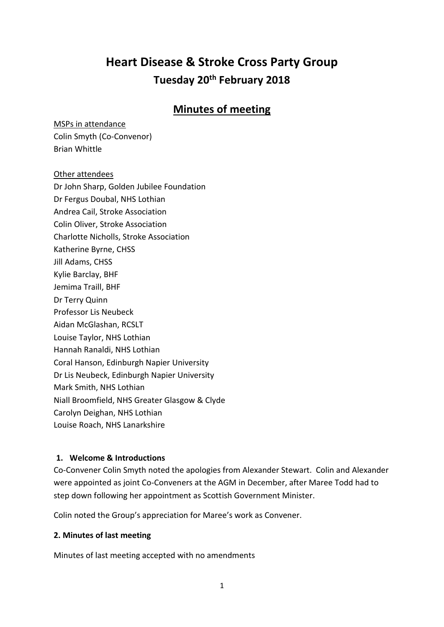# **Heart Disease & Stroke Cross Party Group Tuesday 20th February 2018**

# **Minutes of meeting**

MSPs in attendance

Colin Smyth (Co-Convenor) Brian Whittle

#### Other attendees

Dr John Sharp, Golden Jubilee Foundation Dr Fergus Doubal, NHS Lothian Andrea Cail, Stroke Association Colin Oliver, Stroke Association Charlotte Nicholls, Stroke Association Katherine Byrne, CHSS Jill Adams, CHSS Kylie Barclay, BHF Jemima Traill, BHF Dr Terry Quinn Professor Lis Neubeck Aidan McGlashan, RCSLT Louise Taylor, NHS Lothian Hannah Ranaldi, NHS Lothian Coral Hanson, Edinburgh Napier University Dr Lis Neubeck, Edinburgh Napier University Mark Smith, NHS Lothian Niall Broomfield, NHS Greater Glasgow & Clyde Carolyn Deighan, NHS Lothian Louise Roach, NHS Lanarkshire

#### **1. Welcome & Introductions**

Co-Convener Colin Smyth noted the apologies from Alexander Stewart. Colin and Alexander were appointed as joint Co-Conveners at the AGM in December, after Maree Todd had to step down following her appointment as Scottish Government Minister.

Colin noted the Group's appreciation for Maree's work as Convener.

# **2. Minutes of last meeting**

Minutes of last meeting accepted with no amendments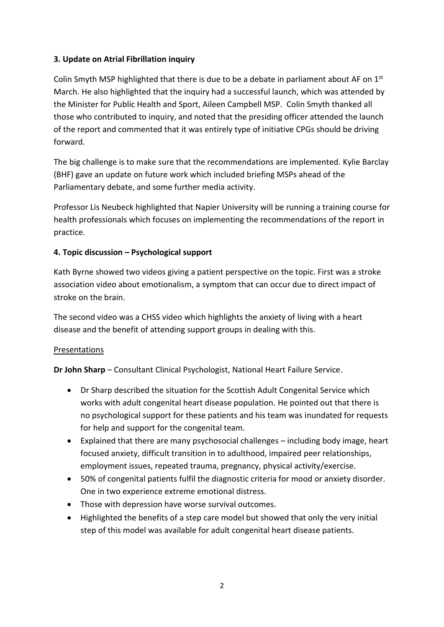### **3. Update on Atrial Fibrillation inquiry**

Colin Smyth MSP highlighted that there is due to be a debate in parliament about AF on  $1<sup>st</sup>$ March. He also highlighted that the inquiry had a successful launch, which was attended by the Minister for Public Health and Sport, Aileen Campbell MSP. Colin Smyth thanked all those who contributed to inquiry, and noted that the presiding officer attended the launch of the report and commented that it was entirely type of initiative CPGs should be driving forward.

The big challenge is to make sure that the recommendations are implemented. Kylie Barclay (BHF) gave an update on future work which included briefing MSPs ahead of the Parliamentary debate, and some further media activity.

Professor Lis Neubeck highlighted that Napier University will be running a training course for health professionals which focuses on implementing the recommendations of the report in practice.

#### **4. Topic discussion – Psychological support**

Kath Byrne showed two videos giving a patient perspective on the topic. First was a stroke association video about emotionalism, a symptom that can occur due to direct impact of stroke on the brain.

The second video was a CHSS video which highlights the anxiety of living with a heart disease and the benefit of attending support groups in dealing with this.

#### Presentations

**Dr John Sharp** – Consultant Clinical Psychologist, National Heart Failure Service.

- Dr Sharp described the situation for the Scottish Adult Congenital Service which works with adult congenital heart disease population. He pointed out that there is no psychological support for these patients and his team was inundated for requests for help and support for the congenital team.
- Explained that there are many psychosocial challenges including body image, heart focused anxiety, difficult transition in to adulthood, impaired peer relationships, employment issues, repeated trauma, pregnancy, physical activity/exercise.
- 50% of congenital patients fulfil the diagnostic criteria for mood or anxiety disorder. One in two experience extreme emotional distress.
- Those with depression have worse survival outcomes.
- Highlighted the benefits of a step care model but showed that only the very initial step of this model was available for adult congenital heart disease patients.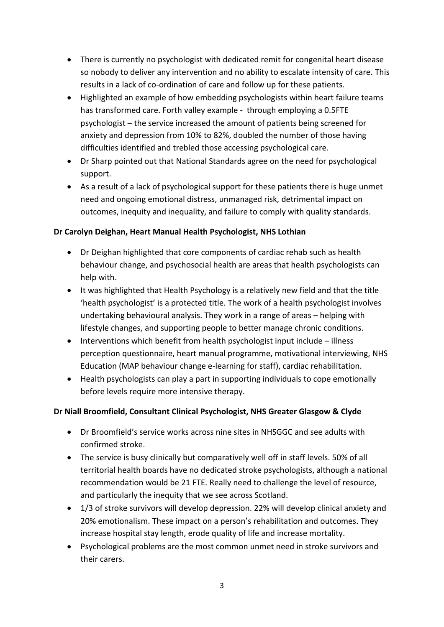- There is currently no psychologist with dedicated remit for congenital heart disease so nobody to deliver any intervention and no ability to escalate intensity of care. This results in a lack of co-ordination of care and follow up for these patients.
- Highlighted an example of how embedding psychologists within heart failure teams has transformed care. Forth valley example - through employing a 0.5FTE psychologist – the service increased the amount of patients being screened for anxiety and depression from 10% to 82%, doubled the number of those having difficulties identified and trebled those accessing psychological care.
- Dr Sharp pointed out that National Standards agree on the need for psychological support.
- As a result of a lack of psychological support for these patients there is huge unmet need and ongoing emotional distress, unmanaged risk, detrimental impact on outcomes, inequity and inequality, and failure to comply with quality standards.

#### **Dr Carolyn Deighan, Heart Manual Health Psychologist, NHS Lothian**

- Dr Deighan highlighted that core components of cardiac rehab such as health behaviour change, and psychosocial health are areas that health psychologists can help with.
- It was highlighted that Health Psychology is a relatively new field and that the title 'health psychologist' is a protected title. The work of a health psychologist involves undertaking behavioural analysis. They work in a range of areas – helping with lifestyle changes, and supporting people to better manage chronic conditions.
- Interventions which benefit from health psychologist input include illness perception questionnaire, heart manual programme, motivational interviewing, NHS Education (MAP behaviour change e-learning for staff), cardiac rehabilitation.
- Health psychologists can play a part in supporting individuals to cope emotionally before levels require more intensive therapy.

# **Dr Niall Broomfield, Consultant Clinical Psychologist, NHS Greater Glasgow & Clyde**

- Dr Broomfield's service works across nine sites in NHSGGC and see adults with confirmed stroke.
- The service is busy clinically but comparatively well off in staff levels. 50% of all territorial health boards have no dedicated stroke psychologists, although a national recommendation would be 21 FTE. Really need to challenge the level of resource, and particularly the inequity that we see across Scotland.
- 1/3 of stroke survivors will develop depression. 22% will develop clinical anxiety and 20% emotionalism. These impact on a person's rehabilitation and outcomes. They increase hospital stay length, erode quality of life and increase mortality.
- Psychological problems are the most common unmet need in stroke survivors and their carers.